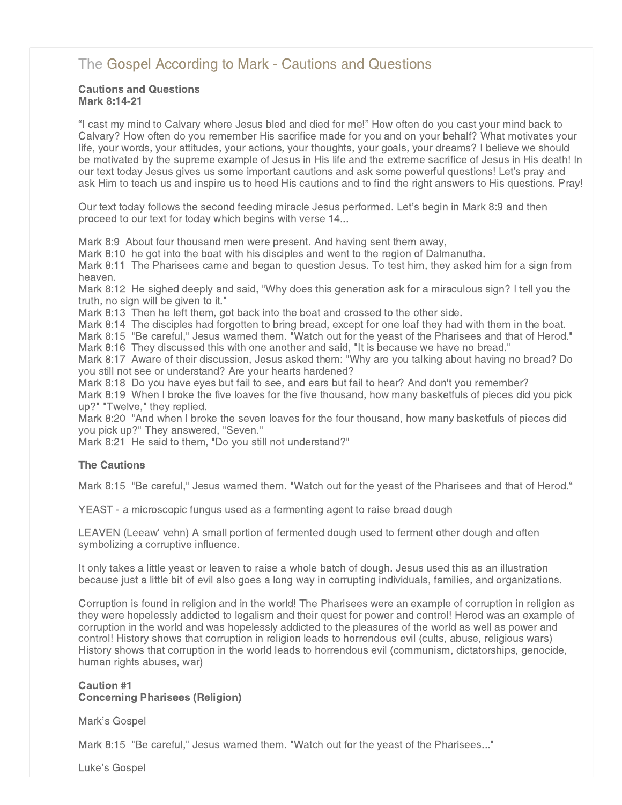# [The Gospel According to Mark - Cautions and Questions](http://www.northshorechurch.net/resources/sermons/sermon-notes/437-the-gospel-according-to-mark-cautions-and-questions)

# Cautions and Questions Mark 8:14-21

"I cast my mind to Calvary where Jesus bled and died for me!" How often do you cast your mind back to Calvary? How often do you remember His sacrifice made for you and on your behalf? What motivates your life, your words, your attitudes, your actions, your thoughts, your goals, your dreams? I believe we should be motivated by the supreme example of Jesus in His life and the extreme sacrifice of Jesus in His death! In our text today Jesus gives us some important cautions and ask some powerful questions! Let's pray and ask Him to teach us and inspire us to heed His cautions and to find the right answers to His questions. Pray!

Our text today follows the second feeding miracle Jesus performed. Let's begin in Mark 8:9 and then proceed to our text for today which begins with verse 14...

Mark 8:9 About four thousand men were present. And having sent them away,

Mark 8:10 he got into the boat with his disciples and went to the region of Dalmanutha.

Mark 8:11 The Pharisees came and began to question Jesus. To test him, they asked him for a sign from heaven.

Mark 8:12 He sighed deeply and said, "Why does this generation ask for a miraculous sign? I tell you the truth, no sign will be given to it."

Mark 8:13 Then he left them, got back into the boat and crossed to the other side.

Mark 8:14 The disciples had forgotten to bring bread, except for one loaf they had with them in the boat.

Mark 8:15 "Be careful," Jesus warned them. "Watch out for the yeast of the Pharisees and that of Herod." Mark 8:16 They discussed this with one another and said, "It is because we have no bread."

Mark 8:17 Aware of their discussion, Jesus asked them: "Why are you talking about having no bread? Do you still not see or understand? Are your hearts hardened?

Mark 8:18 Do you have eyes but fail to see, and ears but fail to hear? And don't you remember?

Mark 8:19 When I broke the five loaves for the five thousand, how many basketfuls of pieces did you pick up?" "Twelve," they replied.

Mark 8:20 "And when I broke the seven loaves for the four thousand, how many basketfuls of pieces did you pick up?" They answered, "Seven."

Mark 8:21 He said to them, "Do you still not understand?"

# The Cautions

Mark 8:15 "Be careful," Jesus warned them. "Watch out for the yeast of the Pharisees and that of Herod."

YEAST - a microscopic fungus used as a fermenting agent to raise bread dough

LEAVEN (Leeaw' vehn) A small portion of fermented dough used to ferment other dough and often symbolizing a corruptive influence.

It only takes a little yeast or leaven to raise a whole batch of dough. Jesus used this as an illustration because just a little bit of evil also goes a long way in corrupting individuals, families, and organizations.

Corruption is found in religion and in the world! The Pharisees were an example of corruption in religion as they were hopelessly addicted to legalism and their quest for power and control! Herod was an example of corruption in the world and was hopelessly addicted to the pleasures of the world as well as power and control! History shows that corruption in religion leads to horrendous evil (cults, abuse, religious wars) History shows that corruption in the world leads to horrendous evil (communism, dictatorships, genocide, human rights abuses, war)

# Caution #1 Concerning Pharisees (Religion)

Mark's Gospel

Mark 8:15 "Be careful," Jesus warned them. "Watch out for the yeast of the Pharisees..."

Luke's Gospel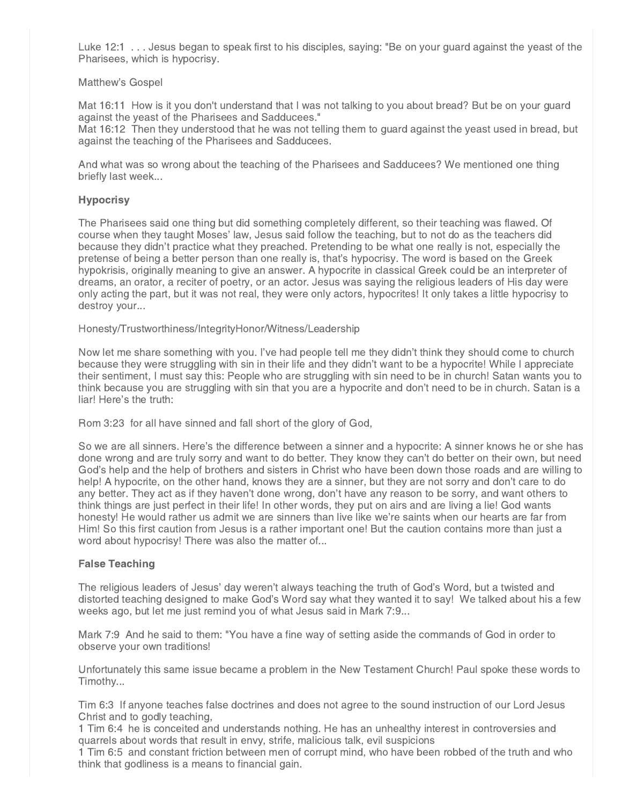Luke 12:1 . . . Jesus began to speak first to his disciples, saying: "Be on your guard against the yeast of the Pharisees, which is hypocrisy.

#### Matthew's Gospel

Mat 16:11 How is it you don't understand that I was not talking to you about bread? But be on your guard against the yeast of the Pharisees and Sadducees."

Mat 16:12 Then they understood that he was not telling them to guard against the yeast used in bread, but against the teaching of the Pharisees and Sadducees.

And what was so wrong about the teaching of the Pharisees and Sadducees? We mentioned one thing briefly last week...

#### **Hypocrisy**

The Pharisees said one thing but did something completely different, so their teaching was flawed. Of course when they taught Moses' law, Jesus said follow the teaching, but to not do as the teachers did because they didn't practice what they preached. Pretending to be what one really is not, especially the pretense of being a better person than one really is, that's hypocrisy. The word is based on the Greek hypokrisis, originally meaning to give an answer. A hypocrite in classical Greek could be an interpreter of dreams, an orator, a reciter of poetry, or an actor. Jesus was saying the religious leaders of His day were only acting the part, but it was not real, they were only actors, hypocrites! It only takes a little hypocrisy to destroy your...

Honesty/Trustworthiness/IntegrityHonor/Witness/Leadership

Now let me share something with you. I've had people tell me they didn't think they should come to church because they were struggling with sin in their life and they didn't want to be a hypocrite! While I appreciate their sentiment, I must say this: People who are struggling with sin need to be in church! Satan wants you to think because you are struggling with sin that you are a hypocrite and don't need to be in church. Satan is a liar! Here's the truth:

Rom 3:23 for all have sinned and fall short of the glory of God,

So we are all sinners. Here's the difference between a sinner and a hypocrite: A sinner knows he or she has done wrong and are truly sorry and want to do better. They know they can't do better on their own, but need God's help and the help of brothers and sisters in Christ who have been down those roads and are willing to help! A hypocrite, on the other hand, knows they are a sinner, but they are not sorry and don't care to do any better. They act as if they haven't done wrong, don't have any reason to be sorry, and want others to think things are just perfect in their life! In other words, they put on airs and are living a lie! God wants honesty! He would rather us admit we are sinners than live like we're saints when our hearts are far from Him! So this first caution from Jesus is a rather important one! But the caution contains more than just a word about hypocrisy! There was also the matter of...

# False Teaching

The religious leaders of Jesus' day weren't always teaching the truth of God's Word, but a twisted and distorted teaching designed to make God's Word say what they wanted it to say! We talked about his a few weeks ago, but let me just remind you of what Jesus said in Mark 7:9...

Mark 7:9 And he said to them: "You have a fine way of setting aside the commands of God in order to observe your own traditions!

Unfortunately this same issue became a problem in the New Testament Church! Paul spoke these words to Timothy...

Tim 6:3 If anyone teaches false doctrines and does not agree to the sound instruction of our Lord Jesus Christ and to godly teaching,

1 Tim 6:4 he is conceited and understands nothing. He has an unhealthy interest in controversies and quarrels about words that result in envy, strife, malicious talk, evil suspicions

1 Tim 6:5 and constant friction between men of corrupt mind, who have been robbed of the truth and who think that godliness is a means to financial gain.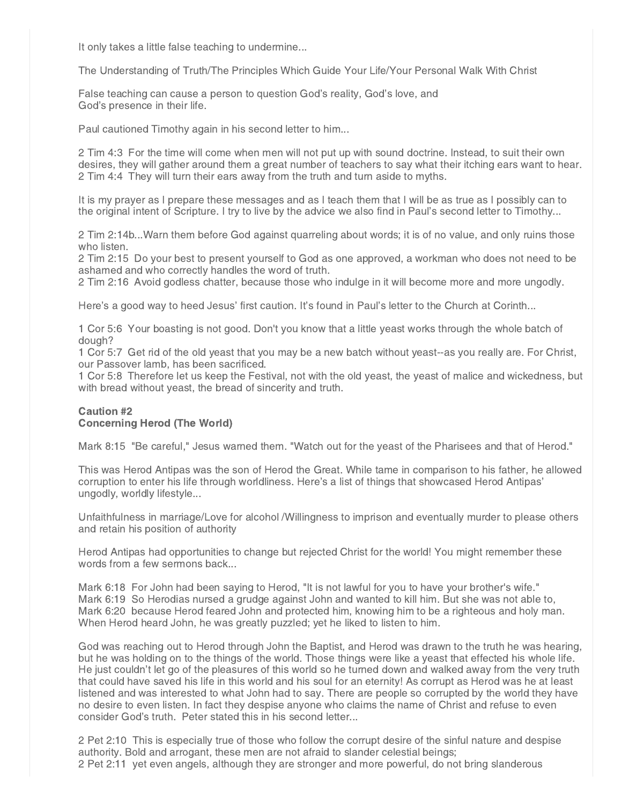It only takes a little false teaching to undermine...

The Understanding of Truth/The Principles Which Guide Your Life/Your Personal Walk With Christ

False teaching can cause a person to question God's reality, God's love, and God's presence in their life.

Paul cautioned Timothy again in his second letter to him...

2 Tim 4:3 For the time will come when men will not put up with sound doctrine. Instead, to suit their own desires, they will gather around them a great number of teachers to say what their itching ears want to hear. 2 Tim 4:4 They will turn their ears away from the truth and turn aside to myths.

It is my prayer as I prepare these messages and as I teach them that I will be as true as I possibly can to the original intent of Scripture. I try to live by the advice we also find in Paul's second letter to Timothy...

2 Tim 2:14b...Warn them before God against quarreling about words; it is of no value, and only ruins those who listen.

2 Tim 2:15 Do your best to present yourself to God as one approved, a workman who does not need to be ashamed and who correctly handles the word of truth.

2 Tim 2:16 Avoid godless chatter, because those who indulge in it will become more and more ungodly.

Here's a good way to heed Jesus' first caution. It's found in Paul's letter to the Church at Corinth...

1 Cor 5:6 Your boasting is not good. Don't you know that a little yeast works through the whole batch of dough?

1 Cor 5:7 Get rid of the old yeast that you may be a new batch without yeast--as you really are. For Christ, our Passover lamb, has been sacrificed.

1 Cor 5:8 Therefore let us keep the Festival, not with the old yeast, the yeast of malice and wickedness, but with bread without yeast, the bread of sincerity and truth.

# Caution #2 Concerning Herod (The World)

Mark 8:15 "Be careful," Jesus warned them. "Watch out for the yeast of the Pharisees and that of Herod."

This was Herod Antipas was the son of Herod the Great. While tame in comparison to his father, he allowed corruption to enter his life through worldliness. Here's a list of things that showcased Herod Antipas' ungodly, worldly lifestyle...

Unfaithfulness in marriage/Love for alcohol /Willingness to imprison and eventually murder to please others and retain his position of authority

Herod Antipas had opportunities to change but rejected Christ for the world! You might remember these words from a few sermons back...

Mark 6:18 For John had been saying to Herod, "It is not lawful for you to have your brother's wife." Mark 6:19 So Herodias nursed a grudge against John and wanted to kill him. But she was not able to, Mark 6:20 because Herod feared John and protected him, knowing him to be a righteous and holy man. When Herod heard John, he was greatly puzzled; yet he liked to listen to him.

God was reaching out to Herod through John the Baptist, and Herod was drawn to the truth he was hearing, but he was holding on to the things of the world. Those things were like a yeast that effected his whole life. He just couldn't let go of the pleasures of this world so he turned down and walked away from the very truth that could have saved his life in this world and his soul for an eternity! As corrupt as Herod was he at least listened and was interested to what John had to say. There are people so corrupted by the world they have no desire to even listen. In fact they despise anyone who claims the name of Christ and refuse to even consider God's truth. Peter stated this in his second letter...

2 Pet 2:10 This is especially true of those who follow the corrupt desire of the sinful nature and despise authority. Bold and arrogant, these men are not afraid to slander celestial beings; 2 Pet 2:11 yet even angels, although they are stronger and more powerful, do not bring slanderous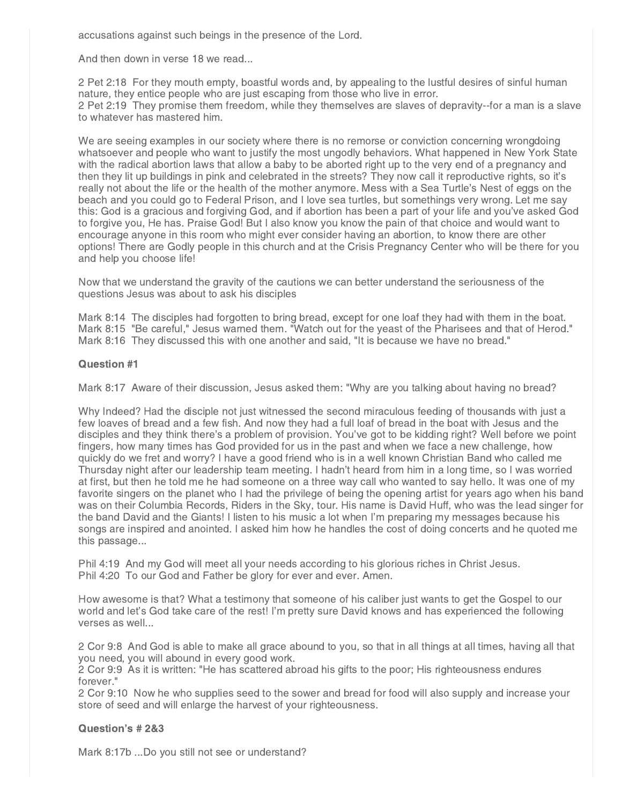accusations against such beings in the presence of the Lord.

And then down in verse 18 we read...

2 Pet 2:18 For they mouth empty, boastful words and, by appealing to the lustful desires of sinful human nature, they entice people who are just escaping from those who live in error. 2 Pet 2:19 They promise them freedom, while they themselves are slaves of depravity--for a man is a slave to whatever has mastered him.

We are seeing examples in our society where there is no remorse or conviction concerning wrongdoing whatsoever and people who want to justify the most ungodly behaviors. What happened in New York State with the radical abortion laws that allow a baby to be aborted right up to the very end of a pregnancy and then they lit up buildings in pink and celebrated in the streets? They now call it reproductive rights, so it's really not about the life or the health of the mother anymore. Mess with a Sea Turtle's Nest of eggs on the beach and you could go to Federal Prison, and I love sea turtles, but somethings very wrong. Let me say this: God is a gracious and forgiving God, and if abortion has been a part of your life and you've asked God to forgive you, He has. Praise God! But I also know you know the pain of that choice and would want to encourage anyone in this room who might ever consider having an abortion, to know there are other options! There are Godly people in this church and at the Crisis Pregnancy Center who will be there for you and help you choose life!

Now that we understand the gravity of the cautions we can better understand the seriousness of the questions Jesus was about to ask his disciples

Mark 8:14 The disciples had forgotten to bring bread, except for one loaf they had with them in the boat. Mark 8:15 "Be careful," Jesus warned them. "Watch out for the yeast of the Pharisees and that of Herod." Mark 8:16 They discussed this with one another and said, "It is because we have no bread."

# Question #1

Mark 8:17 Aware of their discussion, Jesus asked them: "Why are you talking about having no bread?

Why Indeed? Had the disciple not just witnessed the second miraculous feeding of thousands with just a few loaves of bread and a few fish. And now they had a full loaf of bread in the boat with Jesus and the disciples and they think there's a problem of provision. You've got to be kidding right? Well before we point fingers, how many times has God provided for us in the past and when we face a new challenge, how quickly do we fret and worry? I have a good friend who is in a well known Christian Band who called me Thursday night after our leadership team meeting. I hadn't heard from him in a long time, so I was worried at first, but then he told me he had someone on a three way call who wanted to say hello. It was one of my favorite singers on the planet who I had the privilege of being the opening artist for years ago when his band was on their Columbia Records, Riders in the Sky, tour. His name is David Huff, who was the lead singer for the band David and the Giants! I listen to his music a lot when I'm preparing my messages because his songs are inspired and anointed. I asked him how he handles the cost of doing concerts and he quoted me this passage...

Phil 4:19 And my God will meet all your needs according to his glorious riches in Christ Jesus. Phil 4:20 To our God and Father be glory for ever and ever. Amen.

How awesome is that? What a testimony that someone of his caliber just wants to get the Gospel to our world and let's God take care of the rest! I'm pretty sure David knows and has experienced the following verses as well...

2 Cor 9:8 And God is able to make all grace abound to you, so that in all things at all times, having all that you need, you will abound in every good work.

2 Cor 9:9 As it is written: "He has scattered abroad his gifts to the poor; His righteousness endures forever."

2 Cor 9:10 Now he who supplies seed to the sower and bread for food will also supply and increase your store of seed and will enlarge the harvest of your righteousness.

# Question's # 2&3

Mark 8:17b ...Do you still not see or understand?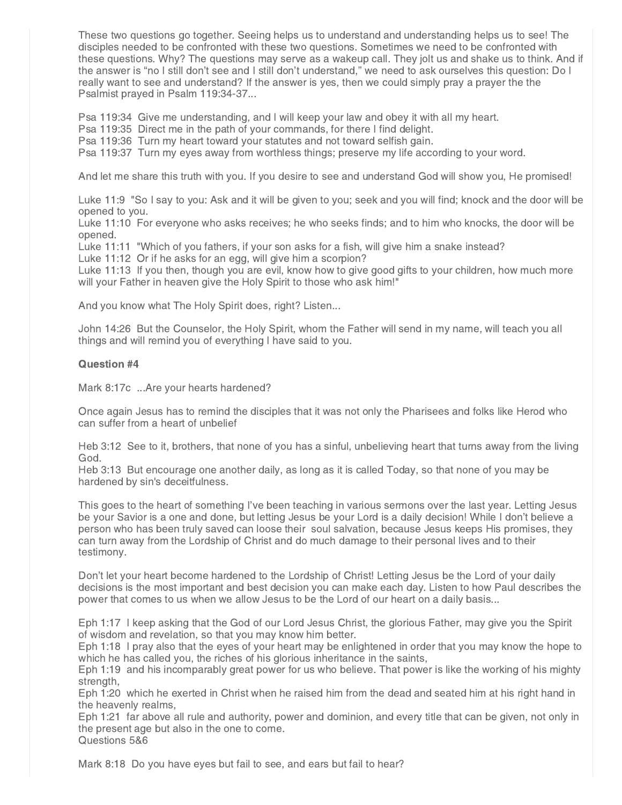These two questions go together. Seeing helps us to understand and understanding helps us to see! The disciples needed to be confronted with these two questions. Sometimes we need to be confronted with these questions. Why? The questions may serve as a wakeup call. They jolt us and shake us to think. And if the answer is "no I still don't see and I still don't understand," we need to ask ourselves this question: Do I really want to see and understand? If the answer is yes, then we could simply pray a prayer the the Psalmist prayed in Psalm 119:34-37...

Psa 119:34 Give me understanding, and I will keep your law and obey it with all my heart.

Psa 119:35 Direct me in the path of your commands, for there I find delight.

Psa 119:36 Turn my heart toward your statutes and not toward selfish gain.

Psa 119:37 Turn my eyes away from worthless things; preserve my life according to your word.

And let me share this truth with you. If you desire to see and understand God will show you, He promised!

Luke 11:9 "So I say to you: Ask and it will be given to you; seek and you will find; knock and the door will be opened to you.

Luke 11:10 For everyone who asks receives; he who seeks finds; and to him who knocks, the door will be opened.

Luke 11:11 "Which of you fathers, if your son asks for a fish, will give him a snake instead?

Luke 11:12 Or if he asks for an egg, will give him a scorpion?

Luke 11:13 If you then, though you are evil, know how to give good gifts to your children, how much more will your Father in heaven give the Holy Spirit to those who ask him!"

And you know what The Holy Spirit does, right? Listen...

John 14:26 But the Counselor, the Holy Spirit, whom the Father will send in my name, will teach you all things and will remind you of everything I have said to you.

#### Question #4

Mark 8:17c ...Are your hearts hardened?

Once again Jesus has to remind the disciples that it was not only the Pharisees and folks like Herod who can suffer from a heart of unbelief

Heb 3:12 See to it, brothers, that none of you has a sinful, unbelieving heart that turns away from the living God.

Heb 3:13 But encourage one another daily, as long as it is called Today, so that none of you may be hardened by sin's deceitfulness.

This goes to the heart of something I've been teaching in various sermons over the last year. Letting Jesus be your Savior is a one and done, but letting Jesus be your Lord is a daily decision! While I don't believe a person who has been truly saved can loose their soul salvation, because Jesus keeps His promises, they can turn away from the Lordship of Christ and do much damage to their personal lives and to their testimony.

Don't let your heart become hardened to the Lordship of Christ! Letting Jesus be the Lord of your daily decisions is the most important and best decision you can make each day. Listen to how Paul describes the power that comes to us when we allow Jesus to be the Lord of our heart on a daily basis...

Eph 1:17 I keep asking that the God of our Lord Jesus Christ, the glorious Father, may give you the Spirit of wisdom and revelation, so that you may know him better.

Eph 1:18 I pray also that the eyes of your heart may be enlightened in order that you may know the hope to which he has called you, the riches of his glorious inheritance in the saints,

Eph 1:19 and his incomparably great power for us who believe. That power is like the working of his mighty strength,

Eph 1:20 which he exerted in Christ when he raised him from the dead and seated him at his right hand in the heavenly realms,

Eph 1:21 far above all rule and authority, power and dominion, and every title that can be given, not only in the present age but also in the one to come.

Questions 5&6

Mark 8:18 Do you have eyes but fail to see, and ears but fail to hear?